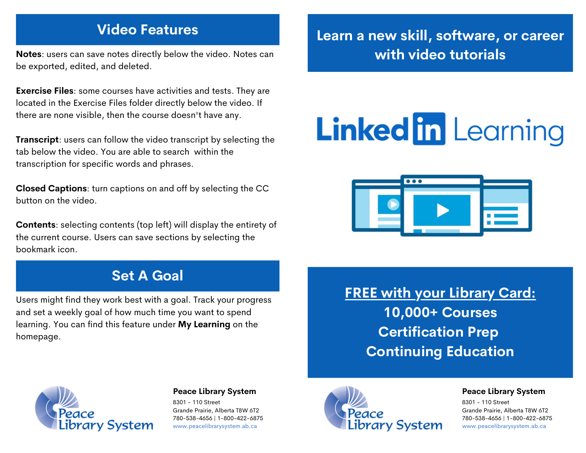# **Video Features**

**Notes**: users can save notes directly below the video. Notes can be exported, edited, and deleted.

**Exercise Files**: some courses have activities and tests. They are located in the Exercise Files folder directly below the video. If there are none visible, then the course doesn't have any.

**Transcript:** users can follow the video transcript by selecting the tab below the video. You are able to search within the transcription for specific words and phrases.

**Closed Captions**: turn captions on and off by selecting the CC button on the video.

**Contents**: selecting contents (top left) will display the entirety of the current course. Users can save sections by selecting the bookmark icon.

## **Set A Goal**

Users might find they work best with a goal. Track your progress and set a weekly goal of how much time you want to spend learning. You can find this feature under **My Learning** on the homepage.

# **Learn a new skill, software, or career with video tutorials**

# **Linked in Learning**



**FREE with your Library Card: 10,000+ Courses Certification Prep Continuing Education**



#### **Peace Library System**

8301 - 110 Street Grande Prairie, Alberta T8W 6T2 780-538-4656 | 1-800-422-6875 [www.peacelibrarysystem.ab.ca](https://www.peacelibrarysystem.ab.ca/)



#### **Peace Library System**

8301 - 110 Street Grande Prairie, Alberta T8W 6T2 780-538-4656 | 1-800-422-6875 [www.peacelibrarysystem.ab.ca](https://www.peacelibrarysystem.ab.ca/)